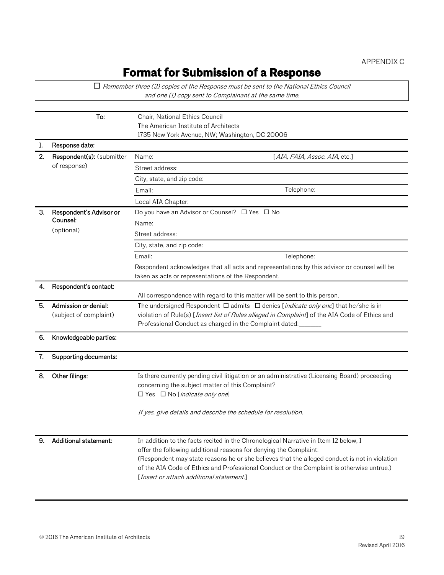## **Format for Submission of a Response**

 $\Box$  Remember three (3) copies of the Response must be sent to the National Ethics Council and one (1) copy sent to Complainant at the same time. To: Chair, National Ethics Council The American Institute of Architects 1735 New York Avenue, NW; Washington, DC 20006 Response date: 2. Respondent(s): (submitter of response) Name: [AIA, FAIA, Assoc. AIA, etc.] Street address: City, state, and zip code: Email: Telephone: Telephone: Local AIA Chapter: 3. Respondent's Advisor or Counsel: (optional) Do you have an Advisor or Counsel?  $\Box$  Yes  $\Box$  No Name: Street address: City, state, and zip code: Email: Telephone: Telephone: Telephone: Telephone: Telephone: Telephone: Telephone: Telephone: Telephone: Telephone: Telephone: Telephone: Telephone: Telephone: Telephone: Telephone: Telephone: Telephone: Telephone: Teleph Respondent acknowledges that all acts and representations by this advisor or counsel will be taken as acts or representations of the Respondent. 4. Respondent's contact: All correspondence with regard to this matter will be sent to this person. 5. Admission or denial: (subject of complaint) The undersigned Respondent  $\Box$  admits  $\Box$  denies [*indicate only one*] that he/she is in violation of Rule(s) [*Insert list of Rules alleged in Complaint*] of the AIA Code of Ethics and Professional Conduct as charged in the Complaint dated: 6. Knowledgeable parties: 7. Supporting documents: 8. Other filings: Is there currently pending civil litigation or an administrative (Licensing Board) proceeding concerning the subject matter of this Complaint?  $\Box$  Yes  $\Box$  No [*indicate only one*] If yes, give details and describe the schedule for resolution. 9. Additional statement: In addition to the facts recited in the Chronological Narrative in Item 12 below, I offer the following additional reasons for denying the Complaint: (Respondent may state reasons he or she believes that the alleged conduct is not in violation of the AIA Code of Ethics and Professional Conduct or the Complaint is otherwise untrue.) [Insert or attach additional statement.]